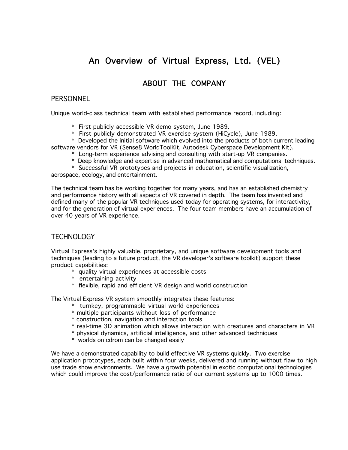# An Overview of Virtual Express, Ltd. (VEL)

## ABOUT THE COMPANY

## **PERSONNEL**

Unique world-class technical team with established performance record, including:

- \* First publicly accessible VR demo system, June 1989.
- \* First publicly demonstrated VR exercise system (HiCycle), June 1989.

\* Developed the initial software which evolved into the products of both current leading software vendors for VR (Sense8 WorldToolKit, Autodesk Cyberspace Development Kit).

- \* Long-term experience advising and consulting with start-up VR companies.
- \* Deep knowledge and expertise in advanced mathematical and computational techniques.
- \* Successful VR prototypes and projects in education, scientific visualization,

aerospace, ecology, and entertainment.

The technical team has be working together for many years, and has an established chemistry and performance history with all aspects of VR covered in depth. The team has invented and defined many of the popular VR techniques used today for operating systems, for interactivity, and for the generation of virtual experiences. The four team members have an accumulation of over 40 years of VR experience.

### TECHNOLOGY

Virtual Express's highly valuable, proprietary, and unique software development tools and techniques (leading to a future product, the VR developer's software toolkit) support these product capabilities:

- \* quality virtual experiences at accessible costs
- \* entertaining activity
- \* flexible, rapid and efficient VR design and world construction

The Virtual Express VR system smoothly integrates these features:

- \* turnkey, programmable virtual world experiences
- \* multiple participants without loss of performance
- \* construction, navigation and interaction tools
- \* real-time 3D animation which allows interaction with creatures and characters in VR
- \* physical dynamics, artificial intelligence, and other advanced techniques
- \* worlds on cdrom can be changed easily

We have a demonstrated capability to build effective VR systems quickly. Two exercise application prototypes, each built within four weeks, delivered and running without flaw to high use trade show environments. We have a growth potential in exotic computational technologies which could improve the cost/performance ratio of our current systems up to 1000 times.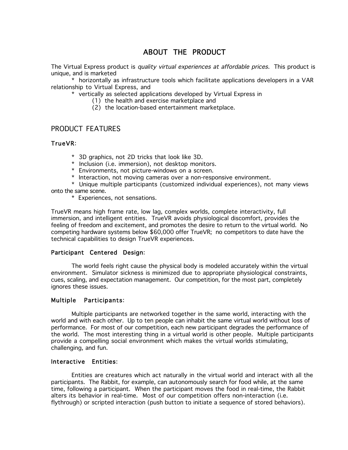## ABOUT THE PRODUCT

The Virtual Express product is *quality virtual experiences at affordable prices*. This product is unique, and is marketed

\* horizontally as infrastructure tools which facilitate applications developers in a VAR relationship to Virtual Express, and

\* vertically as selected applications developed by Virtual Express in

- (1) the health and exercise marketplace and
- (2) the location-based entertainment marketplace.

### PRODUCT FEATURES

#### TrueVR:

- \* 3D graphics, not 2D tricks that look like 3D.
- \* Inclusion (i.e. immersion), not desktop monitors.
- \* Environments, not picture-windows on a screen.
- \* Interaction, not moving cameras over a non-responsive environment.

\* Unique multiple participants (customized individual experiences), not many views onto the same scene.

\* Experiences, not sensations.

TrueVR means high frame rate, low lag, complex worlds, complete interactivity, full immersion, and intelligent entities. TrueVR avoids physiological discomfort, provides the feeling of freedom and excitement, and promotes the desire to return to the virtual world. No competing hardware systems below \$60,000 offer TrueVR; no competitors to date have the technical capabilities to design TrueVR experiences.

### Participant Centered Design:

The world feels right cause the physical body is modeled accurately within the virtual environment. Simulator sickness is minimized due to appropriate physiological constraints, cues, scaling, and expectation management. Our competition, for the most part, completely ignores these issues.

#### Multiple Participants:

Multiple participants are networked together in the same world, interacting with the world and with each other. Up to ten people can inhabit the same virtual world without loss of performance. For most of our competition, each new participant degrades the performance of the world. The most interesting thing in a virtual world is other people. Multiple participants provide a compelling social environment which makes the virtual worlds stimulating, challenging, and fun.

#### Interactive Entities:

Entities are creatures which act naturally in the virtual world and interact with all the participants. The Rabbit, for example, can autonomously search for food while, at the same time, following a participant. When the participant moves the food in real-time, the Rabbit alters its behavior in real-time. Most of our competition offers non-interaction (i.e. flythrough) or scripted interaction (push button to initiate a sequence of stored behaviors).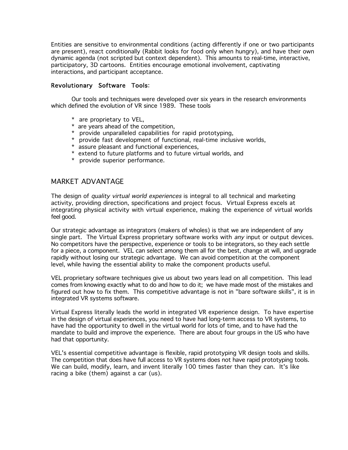Entities are sensitive to environmental conditions (acting differently if one or two participants are present), react conditionally (Rabbit looks for food only when hungry), and have their own dynamic agenda (not scripted but context dependent). This amounts to real-time, interactive, participatory, 3D cartoons. Entities encourage emotional involvement, captivating interactions, and participant acceptance.

#### Revolutionary Software Tools:

Our tools and techniques were developed over six years in the research environments which defined the evolution of VR since 1989. These tools

- \* are proprietary to VEL,
- \* are years ahead of the competition,
- \* provide unparalleled capabilities for rapid prototyping,
- \* provide fast development of functional, real-time inclusive worlds,
- \* assure pleasant and functional experiences,
- \* extend to future platforms and to future virtual worlds, and
- \* provide superior performance.

## MARKET ADVANTAGE

The design of *quality virtual world experiences* is integral to all technical and marketing activity, providing direction, specifications and project focus. Virtual Express excels at integrating physical activity with virtual experience, making the experience of virtual worlds feel good.

Our strategic advantage as integrators (makers of wholes) is that we are independent of any single part. The Virtual Express proprietary software works with *any* input or output devices. No competitors have the perspective, experience or tools to be integrators, so they each settle for a piece, a component. VEL can select among them all for the best, change at will, and upgrade rapidly without losing our strategic advantage. We can avoid competition at the component level, while having the essential ability to make the component products useful.

VEL proprietary software techniques give us about two years lead on all competition. This lead comes from knowing exactly what to do and how to do it; we have made most of the mistakes and figured out how to fix them. This competitive advantage is not in "bare software skills", it is in integrated VR systems software.

Virtual Express literally leads the world in integrated VR experience design. To have expertise in the design of virtual experiences, you need to have had long-term access to VR systems, to have had the opportunity to dwell in the virtual world for lots of time, and to have had the mandate to build and improve the experience. There are about four groups in the US who have had that opportunity.

VEL's essential competitive advantage is flexible, rapid prototyping VR design tools and skills. The competition that does have full access to VR systems does not have rapid prototyping tools. We can build, modify, learn, and invent literally 100 times faster than they can. It's like racing a bike (them) against a car (us).